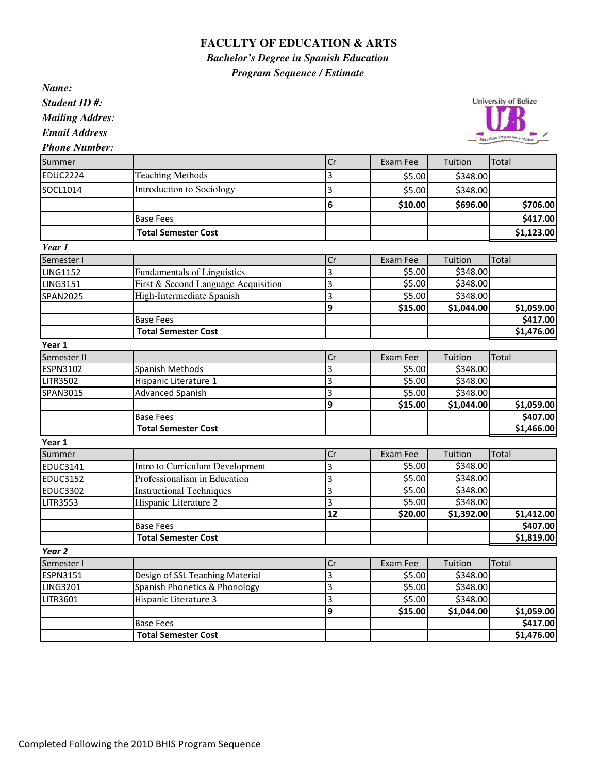## **FACULTY OF EDUCATION & ARTS**

*Bachelor's Degree in Spanish Education*

*Program Sequence / Estimate*

*Name: Student ID #: Mailing Addres: Email Address*

University of Belize vice Empresses as

*Phone Number:*

| Summer            |                                     | Cr                      | Exam Fee | Tuition    | Total                  |
|-------------------|-------------------------------------|-------------------------|----------|------------|------------------------|
| <b>EDUC2224</b>   | <b>Teaching Methods</b>             | 3                       | \$5.00   | \$348.00   |                        |
| SOCL1014          | Introduction to Sociology           | 3                       | \$5.00   | \$348.00   |                        |
|                   |                                     | $6\phantom{1}6$         | \$10.00  | \$696.00   | \$706.00               |
|                   | <b>Base Fees</b>                    |                         |          |            | \$417.00               |
|                   | <b>Total Semester Cost</b>          |                         |          |            | \$1,123.00             |
| Year 1            |                                     |                         |          |            |                        |
| Semester I        |                                     | Cr                      | Exam Fee | Tuition    | Total                  |
| <b>LING1152</b>   | <b>Fundamentals of Linguistics</b>  | 3                       | \$5.00   | \$348.00   |                        |
| <b>LING3151</b>   | First & Second Language Acquisition | 3                       | \$5.00   | \$348.00   |                        |
| <b>SPAN2025</b>   | High-Intermediate Spanish           | 3                       | \$5.00   | \$348.00   |                        |
|                   |                                     | 9                       | \$15.00  | \$1,044.00 | \$1,059.00             |
|                   | <b>Base Fees</b>                    |                         |          |            | \$417.00               |
|                   | <b>Total Semester Cost</b>          |                         |          |            | \$1,476.00             |
| Year 1            |                                     |                         |          |            |                        |
| Semester II       |                                     | $\overline{\text{Cr}}$  | Exam Fee | Tuition    | Total                  |
| <b>ESPN3102</b>   | <b>Spanish Methods</b>              | $\overline{\mathbf{3}}$ | \$5.00   | \$348.00   |                        |
| <b>LITR3502</b>   | Hispanic Literature 1               | 3                       | \$5.00   | \$348.00   |                        |
| SPAN3015          | <b>Advanced Spanish</b>             | 3                       | \$5.00   | \$348.00   |                        |
|                   |                                     | 9                       | \$15.00  | \$1,044.00 | \$1,059.00             |
|                   | <b>Base Fees</b>                    |                         |          |            | \$407.00               |
|                   | <b>Total Semester Cost</b>          |                         |          |            | $\overline{51,}466.00$ |
| Year 1            |                                     |                         |          |            |                        |
| Summer            |                                     | Cr                      | Exam Fee | Tuition    | Total                  |
| <b>EDUC3141</b>   | Intro to Curriculum Development     | 3                       | \$5.00   | \$348.00   |                        |
| <b>EDUC3152</b>   | Professionalism in Education        | 3                       | \$5.00   | \$348.00   |                        |
| <b>EDUC3302</b>   | <b>Instructional Techniques</b>     | $\overline{3}$          | \$5.00   | \$348.00   |                        |
| <b>LITR3553</b>   | Hispanic Literature 2               | 3                       | 55.00    | \$348.00   |                        |
|                   |                                     | $\overline{12}$         | \$20.00  | \$1,392.00 | \$1,412.00             |
|                   | <b>Base Fees</b>                    |                         |          |            | \$407.00               |
|                   | <b>Total Semester Cost</b>          |                         |          |            | $\overline{$}1,819.00$ |
| Year <sub>2</sub> |                                     |                         |          |            |                        |
| Semester I        |                                     | Cr                      | Exam Fee | Tuition    | Total                  |
| <b>ESPN3151</b>   | Design of SSL Teaching Material     | 3                       | \$5.00   | \$348.00   |                        |
| <b>LING3201</b>   | Spanish Phonetics & Phonology       | 3                       | \$5.00   | \$348.00   |                        |
| LITR3601          | Hispanic Literature 3               | 3                       | \$5.00   | \$348.00   |                        |
|                   |                                     | 9                       | \$15.00  | \$1,044.00 | \$1,059.00             |
|                   | <b>Base Fees</b>                    |                         |          |            | \$417.00               |
|                   | <b>Total Semester Cost</b>          |                         |          |            | \$1,476.00             |